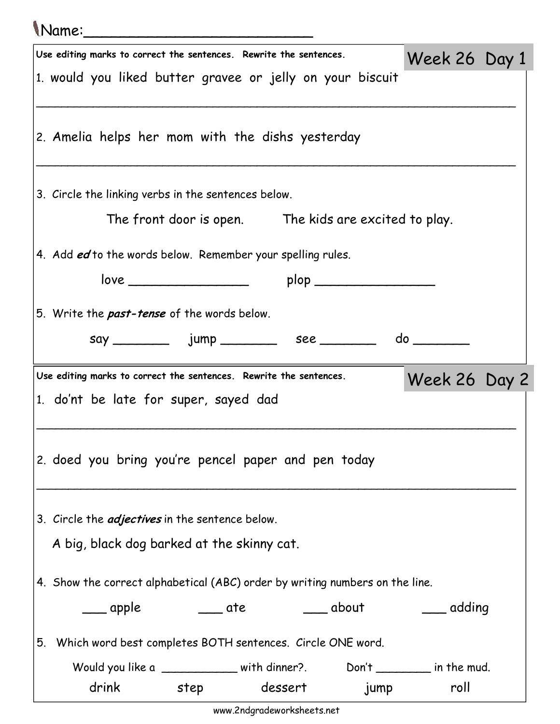| Name:                                                                               |                                                                              |               |  |  |  |  |  |  |  |
|-------------------------------------------------------------------------------------|------------------------------------------------------------------------------|---------------|--|--|--|--|--|--|--|
| Use editing marks to correct the sentences. Rewrite the sentences.<br>Week 26 Day 1 |                                                                              |               |  |  |  |  |  |  |  |
|                                                                                     | 1. would you liked butter gravee or jelly on your biscuit                    |               |  |  |  |  |  |  |  |
|                                                                                     | 2. Amelia helps her mom with the dishs yesterday                             |               |  |  |  |  |  |  |  |
|                                                                                     | 3. Circle the linking verbs in the sentences below.                          |               |  |  |  |  |  |  |  |
|                                                                                     | The front door is open. The kids are excited to play.                        |               |  |  |  |  |  |  |  |
|                                                                                     | 4. Add ed to the words below. Remember your spelling rules.                  |               |  |  |  |  |  |  |  |
|                                                                                     | plop ________________                                                        |               |  |  |  |  |  |  |  |
|                                                                                     | 5. Write the <b>past-tense</b> of the words below.                           |               |  |  |  |  |  |  |  |
|                                                                                     |                                                                              |               |  |  |  |  |  |  |  |
|                                                                                     |                                                                              |               |  |  |  |  |  |  |  |
|                                                                                     | Use editing marks to correct the sentences. Rewrite the sentences.           | Week 26 Day 2 |  |  |  |  |  |  |  |
|                                                                                     | 1. do'nt be late for super, sayed dad                                        |               |  |  |  |  |  |  |  |
|                                                                                     |                                                                              |               |  |  |  |  |  |  |  |
|                                                                                     | 2. doed you bring you're pencel paper and pen today                          |               |  |  |  |  |  |  |  |
|                                                                                     | 3. Circle the <i>adjectives</i> in the sentence below.                       |               |  |  |  |  |  |  |  |
|                                                                                     | A big, black dog barked at the skinny cat.                                   |               |  |  |  |  |  |  |  |
|                                                                                     | 4. Show the correct alphabetical (ABC) order by writing numbers on the line. |               |  |  |  |  |  |  |  |
|                                                                                     | ____ apple      ____ ate      ____ about                                     | adding        |  |  |  |  |  |  |  |
|                                                                                     | 5. Which word best completes BOTH sentences. Circle ONE word.                |               |  |  |  |  |  |  |  |
|                                                                                     | Would you like a ___________ with dinner? Don't _______ in the mud.          |               |  |  |  |  |  |  |  |
|                                                                                     | drink step<br>dessert jump                                                   | roll          |  |  |  |  |  |  |  |

www.2ndgradeworksheets.net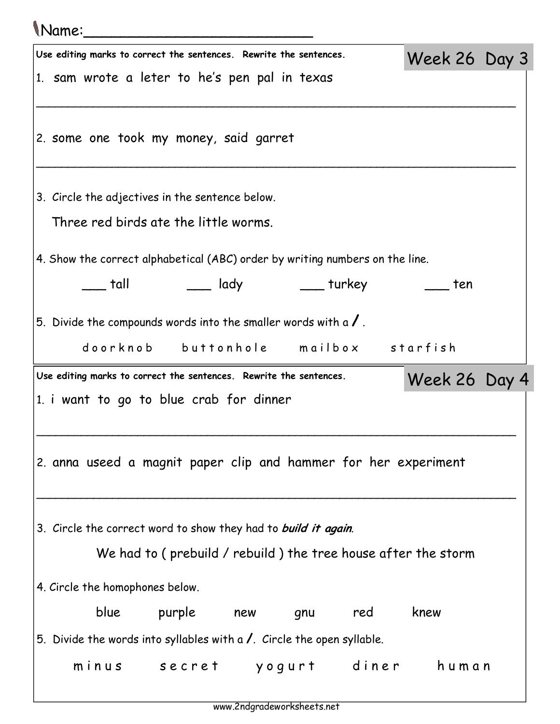## Name:\_\_\_\_\_\_\_\_\_\_\_\_\_\_\_\_\_\_\_\_\_\_\_\_\_

| U VUITICI                                                                    |                                                                                                             |                                                               |     |     |     |               |  |  |
|------------------------------------------------------------------------------|-------------------------------------------------------------------------------------------------------------|---------------------------------------------------------------|-----|-----|-----|---------------|--|--|
|                                                                              | Use editing marks to correct the sentences. Rewrite the sentences.                                          |                                                               |     |     |     | Week 26 Day 3 |  |  |
|                                                                              | 1. sam wrote a leter to he's pen pal in texas                                                               |                                                               |     |     |     |               |  |  |
|                                                                              |                                                                                                             |                                                               |     |     |     |               |  |  |
|                                                                              | 2. some one took my money, said garret                                                                      |                                                               |     |     |     |               |  |  |
|                                                                              | 3. Circle the adjectives in the sentence below.                                                             |                                                               |     |     |     |               |  |  |
|                                                                              | Three red birds ate the little worms.                                                                       |                                                               |     |     |     |               |  |  |
| 4. Show the correct alphabetical (ABC) order by writing numbers on the line. |                                                                                                             |                                                               |     |     |     |               |  |  |
|                                                                              | tall t                                                                                                      | ____ lady ______ turkey                                       |     |     |     | ten           |  |  |
|                                                                              |                                                                                                             |                                                               |     |     |     |               |  |  |
|                                                                              | 5. Divide the compounds words into the smaller words with a $\sqrt{ }$ .                                    |                                                               |     |     |     |               |  |  |
|                                                                              |                                                                                                             | doorknob buttonhole mailbox starfish                          |     |     |     |               |  |  |
|                                                                              |                                                                                                             |                                                               |     |     |     |               |  |  |
|                                                                              | Use editing marks to correct the sentences. Rewrite the sentences.                                          |                                                               |     |     |     | Week 26 Day 4 |  |  |
|                                                                              | 1. i want to go to blue crab for dinner                                                                     |                                                               |     |     |     |               |  |  |
|                                                                              |                                                                                                             |                                                               |     |     |     |               |  |  |
|                                                                              | 2. anna useed a magnit paper clip and hammer for her experiment                                             |                                                               |     |     |     |               |  |  |
|                                                                              |                                                                                                             |                                                               |     |     |     |               |  |  |
|                                                                              | 3. Circle the correct word to show they had to build it again.                                              |                                                               |     |     |     |               |  |  |
|                                                                              |                                                                                                             | We had to (prebuild / rebuild) the tree house after the storm |     |     |     |               |  |  |
|                                                                              |                                                                                                             |                                                               |     |     |     |               |  |  |
|                                                                              | 4. Circle the homophones below.                                                                             |                                                               |     |     |     |               |  |  |
|                                                                              | blue                                                                                                        | purple                                                        | new | gnu | red | knew          |  |  |
|                                                                              | 5. Divide the words into syllables with a $\prime$ . Circle the open syllable.<br>minus secret yogurt diner |                                                               |     |     |     | human         |  |  |